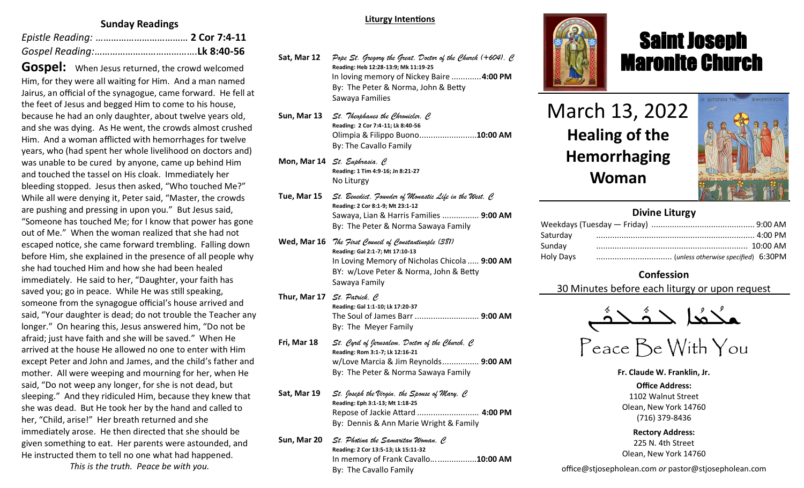#### **Sunday Readings**

**Gospel:** When Jesus returned, the crowd welcomed Him, for they were all waiting for Him. And a man named Jairus, an official of the synagogue, came forward. He fell at the feet of Jesus and begged Him to come to his house, because he had an only daughter, about twelve years old, and she was dying. As He went, the crowds almost crushed Him. And a woman afflicted with hemorrhages for twelve years, who (had spent her whole livelihood on doctors and) was unable to be cured by anyone, came up behind Him and touched the tassel on His cloak. Immediately her bleeding stopped. Jesus then asked, "Who touched Me?" While all were denying it, Peter said, "Master, the crowds are pushing and pressing in upon you." But Jesus said, "Someone has touched Me; for I know that power has gone out of Me." When the woman realized that she had not escaped notice, she came forward trembling. Falling down before Him, she explained in the presence of all people why she had touched Him and how she had been healed immediately. He said to her, "Daughter, your faith has saved you; go in peace. While He was still speaking, someone from the synagogue official's house arrived and said, "Your daughter is dead; do not trouble the Teacher any longer." On hearing this, Jesus answered him, "Do not be afraid; just have faith and she will be saved." When He arrived at the house He allowed no one to enter with Him except Peter and John and James, and the child's father and mother. All were weeping and mourning for her, when He said, "Do not weep any longer, for she is not dead, but sleeping." And they ridiculed Him, because they knew that she was dead. But He took her by the hand and called to her, "Child, arise!" Her breath returned and she immediately arose. He then directed that she should be given something to eat. Her parents were astounded, and He instructed them to tell no one what had happened.

*This is the truth. Peace be with you.*

#### **Liturgy Intentions**

- **Sat, Mar 12** *Pope St. Gregory the Great, Doctor of the Church (+604), C* **Reading: Heb 12:28-13:9; Mk 11:19-25** In loving memory of Nickey Baire .............**4:00 PM** By: The Peter & Norma, John & Betty Sawaya Families
- **Sun, Mar 13** *St. Theophanes the Chronicler, C* **Reading: 2 Cor 7:4-11; Lk 8:40-56** Olimpia & Filippo Buono.........................**10:00 AM** By: The Cavallo Family
- **Mon, Mar 14** *St. Euphrasia, C* **Reading: 1 Tim 4:9-16; Jn 8:21-27** No Liturgy
- **Tue, Mar 15** *St. Benedict, Founder of Monastic Life in the West, C*  **Reading: 2 Cor 8:1-9; Mt 23:1-12** Sawaya, Lian & Harris Families ................ **9:00 AM** By: The Peter & Norma Sawaya Family
- **Wed, Mar 16** *The First Council of Constantinople (381)* **Reading: Gal 2:1-7; Mt 17:10-13** In Loving Memory of Nicholas Chicola ..... **9:00 AM** BY: w/Love Peter & Norma, John & Betty Sawaya Family
- **Thur, Mar 17** *St. Patrick, C* **Reading: Gal 1:1-10; Lk 17:20-37** The Soul of James Barr ............................ **9:00 AM** By: The Meyer Family
- **Fri, Mar 18** *St. Cyril of Jerusalem, Doctor of the Church, C* **Reading: Rom 3:1-7; Lk 12:16-21** w/Love Marcia & Jim Reynolds................ **9:00 AM** By: The Peter & Norma Sawaya Family
- **Sat, Mar 19** *St. Joseph the Virgin, the Spouse of Mary, C* **Reading: Eph 3:1-13; Mt 1:18-25** Repose of Jackie Attard ........................... **4:00 PM** By: Dennis & Ann Marie Wright & Family
- **Sun, Mar 20** *St. Photina the Samaritan Woman, C* **Reading: 2 Cor 13:5-13; Lk 15:11-32** In memory of Frank Cavallo....................**10:00 AM** By: The Cavallo Family



# Saint Joseph Maronite Church

March 13, 2022 **Healing of the Hemorrhaging Woman**

ī



## **Divine Liturgy**

| Saturday  |  |
|-----------|--|
| Sunday    |  |
| Holy Days |  |
|           |  |

# **Confession**

30 Minutes before each liturgy or upon request

مكْتُعا حَشَّحْشَى —<br>∧<br>∩ —<br>∧<br>∩ ا<br>م  $\frac{1}{\sqrt{2}}$ 

Peace Be With You

**Fr. Claude W. Franklin, Jr.**

**Office Address:** 1102 Walnut Street Olean, New York 14760 (716) 379-8436

**Rectory Address:** 225 N. 4th Street Olean, New York 14760

office@stjosepholean.com *or* pastor@stjosepholean.com